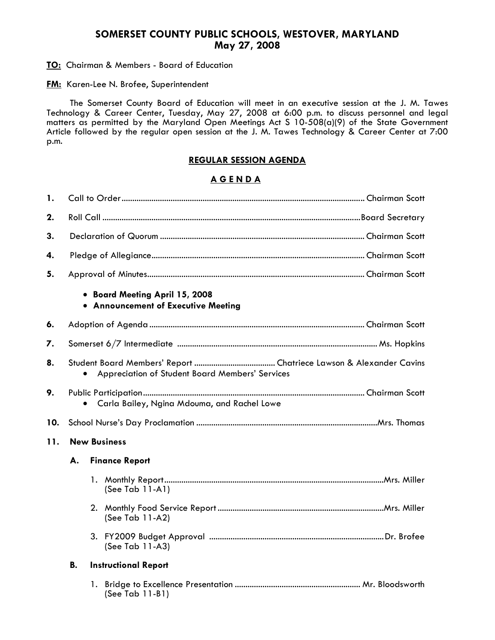## **SOMERSET COUNTY PUBLIC SCHOOLS, WESTOVER, MARYLAND May 27, 2008**

**TO:** Chairman & Members - Board of Education

**FM:** Karen-Lee N. Brofee, Superintendent

 The Somerset County Board of Education will meet in an executive session at the J. M. Tawes Technology & Career Center, Tuesday, May 27, 2008 at 6:00 p.m. to discuss personnel and legal matters as permitted by the Maryland Open Meetings Act S 10-508(a)(9) of the State Government Article followed by the regular open session at the J. M. Tawes Technology & Career Center at 7:00 p.m.

## **REGULAR SESSION AGENDA**

## **A G E N D A**

| 1.  |                                                 |    |                                                                       |  |  |
|-----|-------------------------------------------------|----|-----------------------------------------------------------------------|--|--|
| 2.  |                                                 |    |                                                                       |  |  |
| 3.  |                                                 |    |                                                                       |  |  |
| 4.  |                                                 |    |                                                                       |  |  |
| 5.  |                                                 |    |                                                                       |  |  |
|     |                                                 |    | • Board Meeting April 15, 2008<br>• Announcement of Executive Meeting |  |  |
| 6.  |                                                 |    |                                                                       |  |  |
| 7.  |                                                 |    |                                                                       |  |  |
| 8.  | Appreciation of Student Board Members' Services |    |                                                                       |  |  |
| 9.  | Carla Bailey, Ngina Mdouma, and Rachel Lowe     |    |                                                                       |  |  |
| 10. |                                                 |    |                                                                       |  |  |
| 11. | <b>New Business</b>                             |    |                                                                       |  |  |
|     | А.<br><b>Finance Report</b>                     |    |                                                                       |  |  |
|     |                                                 |    | $(See Tab 11-A1)$                                                     |  |  |
|     |                                                 |    | (See Tab 11-A2)                                                       |  |  |
|     |                                                 |    | (See Tab 11-A3)                                                       |  |  |
|     | В.                                              |    | <b>Instructional Report</b>                                           |  |  |
|     |                                                 | 1. | (See Tab 11-B1)                                                       |  |  |